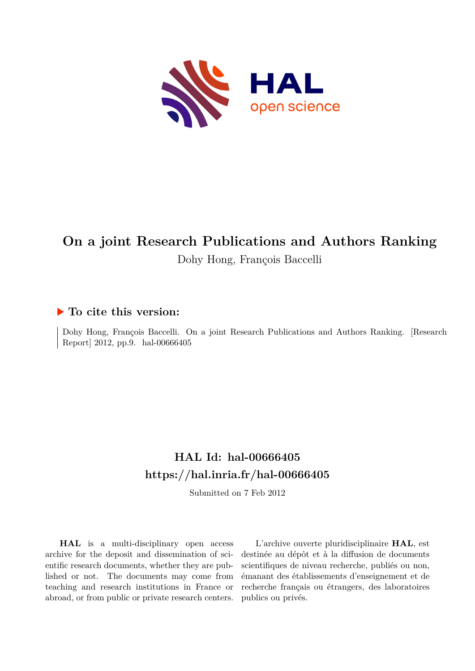

# **On a joint Research Publications and Authors Ranking** Dohy Hong, François Baccelli

# **To cite this version:**

Dohy Hong, François Baccelli. On a joint Research Publications and Authors Ranking. [Research Report] 2012, pp.9. hal-00666405

# **HAL Id: hal-00666405 <https://hal.inria.fr/hal-00666405>**

Submitted on 7 Feb 2012

**HAL** is a multi-disciplinary open access archive for the deposit and dissemination of scientific research documents, whether they are published or not. The documents may come from teaching and research institutions in France or abroad, or from public or private research centers.

L'archive ouverte pluridisciplinaire **HAL**, est destinée au dépôt et à la diffusion de documents scientifiques de niveau recherche, publiés ou non, émanant des établissements d'enseignement et de recherche français ou étrangers, des laboratoires publics ou privés.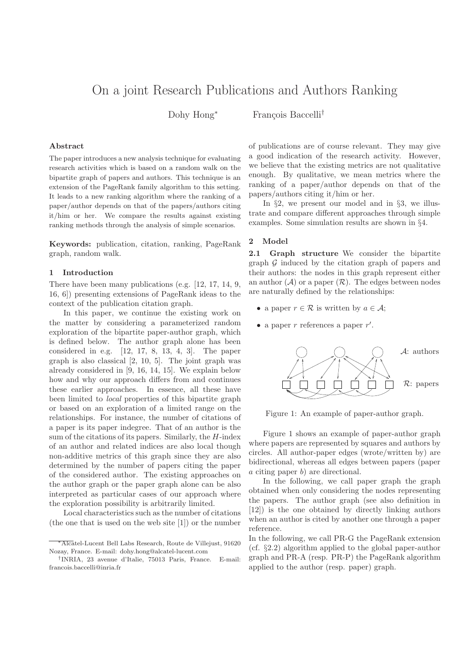# On a joint Research Publications and Authors Ranking

Dohy Hong<sup>∗</sup> François Baccelli<sup>†</sup>

## Abstract

The paper introduces a new analysis technique for evaluating research activities which is based on a random walk on the bipartite graph of papers and authors. This technique is an extension of the PageRank family algorithm to this setting. It leads to a new ranking algorithm where the ranking of a paper/author depends on that of the papers/authors citing it/him or her. We compare the results against existing ranking methods through the analysis of simple scenarios.

Keywords: publication, citation, ranking, PageRank graph, random walk.

#### 1 Introduction

There have been many publications (e.g. [12, 17, 14, 9, 16, 6]) presenting extensions of PageRank ideas to the context of the publication citation graph.

In this paper, we continue the existing work on the matter by considering a parameterized random exploration of the bipartite paper-author graph, which is defined below. The author graph alone has been considered in e.g. [12, 17, 8, 13, 4, 3]. The paper graph is also classical [2, 10, 5]. The joint graph was already considered in [9, 16, 14, 15]. We explain below how and why our approach differs from and continues these earlier approaches. In essence, all these have been limited to local properties of this bipartite graph or based on an exploration of a limited range on the relationships. For instance, the number of citations of a paper is its paper indegree. That of an author is the sum of the citations of its papers. Similarly, the  $H$ -index of an author and related indices are also local though non-additive metrics of this graph since they are also determined by the number of papers citing the paper of the considered author. The existing approaches on the author graph or the paper graph alone can be also interpreted as particular cases of our approach where the exploration possibility is arbitrarily limited.

Local characteristics such as the number of citations (the one that is used on the web site [1]) or the number of publications are of course relevant. They may give a good indication of the research activity. However, we believe that the existing metrics are not qualitative enough. By qualitative, we mean metrics where the ranking of a paper/author depends on that of the papers/authors citing it/him or her.

In §2, we present our model and in §3, we illustrate and compare different approaches through simple examples. Some simulation results are shown in §4.

# 2 Model

2.1 Graph structure We consider the bipartite graph  $\mathcal G$  induced by the citation graph of papers and their authors: the nodes in this graph represent either an author  $(\mathcal{A})$  or a paper  $(\mathcal{R})$ . The edges between nodes are naturally defined by the relationships:

- a paper  $r \in \mathcal{R}$  is written by  $a \in \mathcal{A}$ ;
- a paper  $r$  references a paper  $r'$ .



Figure 1: An example of paper-author graph.

Figure 1 shows an example of paper-author graph where papers are represented by squares and authors by circles. All author-paper edges (wrote/written by) are bidirectional, whereas all edges between papers (paper a citing paper b) are directional.

In the following, we call paper graph the graph obtained when only considering the nodes representing the papers. The author graph (see also definition in [12]) is the one obtained by directly linking authors when an author is cited by another one through a paper reference.

In the following, we call PR-G the PageRank extension (cf. §2.2) algorithm applied to the global paper-author graph and PR-A (resp. PR-P) the PageRank algorithm applied to the author (resp. paper) graph.

<sup>∗</sup>Alcatel-Lucent Bell Labs Research, Route de Villejust, 91620 Nozay, France. E-mail: dohy.hong@alcatel-lucent.com

<sup>†</sup> INRIA, 23 avenue d'Italie, 75013 Paris, France. E-mail: francois.baccelli@inria.fr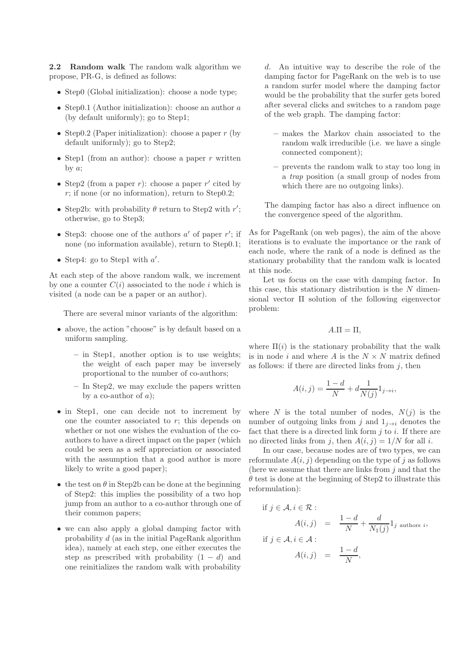2.2 Random walk The random walk algorithm we propose, PR-G, is defined as follows:

- Step0 (Global initialization): choose a node type;
- Step0.1 (Author initialization): choose an author a (by default uniformly); go to Step1;
- Step0.2 (Paper initialization): choose a paper  $r$  (by default uniformly); go to Step2;
- Step1 (from an author): choose a paper r written by  $a$ ;
- Step2 (from a paper  $r$ ): choose a paper  $r'$  cited by  $r$ ; if none (or no information), return to Step0.2;
- Step2b: with probability  $\theta$  return to Step2 with r'; otherwise, go to Step3;
- Step3: choose one of the authors  $a'$  of paper  $r'$ ; if none (no information available), return to Step0.1;
- Step4: go to Step1 with  $a'$ .

At each step of the above random walk, we increment by one a counter  $C(i)$  associated to the node i which is visited (a node can be a paper or an author).

There are several minor variants of the algorithm:

- above, the action "choose" is by default based on a uniform sampling.
	- in Step1, another option is to use weights; the weight of each paper may be inversely proportional to the number of co-authors;
	- In Step2, we may exclude the papers written by a co-author of  $a$ );
- in Step1, one can decide not to increment by one the counter associated to  $r$ ; this depends on whether or not one wishes the evaluation of the coauthors to have a direct impact on the paper (which could be seen as a self appreciation or associated with the assumption that a good author is more likely to write a good paper);
- the test on  $\theta$  in Step2b can be done at the beginning of Step2: this implies the possibility of a two hop jump from an author to a co-author through one of their common papers;
- we can also apply a global damping factor with probability  $d$  (as in the initial PageRank algorithm idea), namely at each step, one either executes the step as prescribed with probability  $(1 - d)$  and one reinitializes the random walk with probability

d. An intuitive way to describe the role of the damping factor for PageRank on the web is to use a random surfer model where the damping factor would be the probability that the surfer gets bored after several clicks and switches to a random page of the web graph. The damping factor:

- makes the Markov chain associated to the random walk irreducible (i.e. we have a single connected component);
- prevents the random walk to stay too long in a trap position (a small group of nodes from which there are no outgoing links).

The damping factor has also a direct influence on the convergence speed of the algorithm.

As for PageRank (on web pages), the aim of the above iterations is to evaluate the importance or the rank of each node, where the rank of a node is defined as the stationary probability that the random walk is located at this node.

Let us focus on the case with damping factor. In this case, this stationary distribution is the  $N$  dimensional vector Π solution of the following eigenvector problem:

$$
A.\Pi = \Pi,
$$

where  $\Pi(i)$  is the stationary probability that the walk is in node  $i$  and where  $A$  is the  $N\times N$  matrix defined as follows: if there are directed links from  $j$ , then

$$
A(i,j) = \frac{1-d}{N} + d \frac{1}{N(j)} 1_{j \to i},
$$

where N is the total number of nodes,  $N(j)$  is the number of outgoing links from j and  $1_{i\rightarrow i}$  denotes the fact that there is a directed link form  $i$  to  $i$ . If there are no directed links from j, then  $A(i, j) = 1/N$  for all i.

In our case, because nodes are of two types, we can reformulate  $A(i, j)$  depending on the type of j as follows (here we assume that there are links from  $i$  and that the  $\theta$  test is done at the beginning of Step2 to illustrate this reformulation):

if 
$$
j \in A, i \in \mathcal{R}
$$
:  
\n
$$
A(i,j) = \frac{1-d}{N} + \frac{d}{N_1(j)} 1_j \text{ authors } i,
$$
\nif  $j \in A, i \in A$ :  
\n
$$
A(i,j) = \frac{1-d}{N},
$$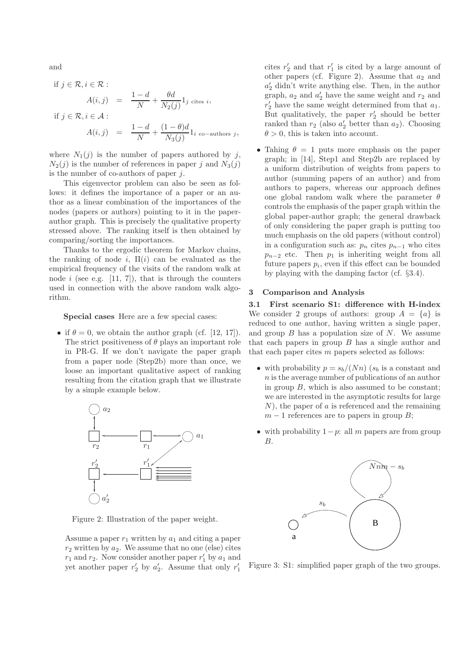and

if 
$$
j \in \mathcal{R}
$$
,  $i \in \mathcal{R}$ :  
\n
$$
A(i,j) = \frac{1-d}{N} + \frac{\theta d}{N_2(j)} 1_j \text{ cites } i,
$$
\nif  $j \in \mathcal{R}$ ,  $i \in \mathcal{A}$ :  
\n
$$
A(i,j) = \frac{1-d}{N} + \frac{(1-\theta)d}{N_3(j)} 1_i \text{ co-authors } j,
$$

where  $N_1(j)$  is the number of papers authored by j,  $N_2(j)$  is the number of references in paper j and  $N_3(j)$ is the number of co-authors of paper  $j$ .

This eigenvector problem can also be seen as follows: it defines the importance of a paper or an author as a linear combination of the importances of the nodes (papers or authors) pointing to it in the paperauthor graph. This is precisely the qualitative property stressed above. The ranking itself is then obtained by comparing/sorting the importances.

Thanks to the ergodic theorem for Markov chains, the ranking of node i,  $\Pi(i)$  can be evaluated as the empirical frequency of the visits of the random walk at node i (see e.g.  $[11, 7]$ ), that is through the counters used in connection with the above random walk algorithm.

#### Special cases Here are a few special cases:

• if  $\theta = 0$ , we obtain the author graph (cf. [12, 17]). The strict positiveness of  $\theta$  plays an important role in PR-G. If we don't navigate the paper graph from a paper node (Step2b) more than once, we loose an important qualitative aspect of ranking resulting from the citation graph that we illustrate by a simple example below.



Figure 2: Illustration of the paper weight.

Assume a paper  $r_1$  written by  $a_1$  and citing a paper  $r_2$  written by  $a_2$ . We assume that no one (else) cites  $r_1$  and  $r_2$ . Now consider another paper  $r'_1$  by  $a_1$  and yet another paper  $r'_2$  by  $a'_2$ . Assume that only  $r'_1$ 

cites  $r'_2$  and that  $r'_1$  is cited by a large amount of other papers (cf. Figure 2). Assume that  $a_2$  and a ′ <sup>2</sup> didn't write anything else. Then, in the author graph,  $a_2$  and  $a'_2$  have the same weight and  $r_2$  and  $r'_2$  have the same weight determined from that  $a_1$ . But qualitatively, the paper  $r'_2$  should be better ranked than  $r_2$  (also  $a'_2$  better than  $a_2$ ). Choosing  $\theta > 0$ , this is taken into account.

• Tahing  $\theta = 1$  puts more emphasis on the paper graph; in [14], Step1 and Step2b are replaced by a uniform distribution of weights from papers to author (summing papers of an author) and from authors to papers, whereas our approach defines one global random walk where the parameter  $\theta$ controls the emphasis of the paper graph within the global paper-author graph; the general drawback of only considering the paper graph is putting too much emphasis on the old papers (without control) in a configuration such as:  $p_n$  cites  $p_{n-1}$  who cites  $p_{n-2}$  etc. Then  $p_1$  is inheriting weight from all future papers  $p_i$ , even if this effect can be bounded by playing with the damping factor (cf. §3.4).

# 3 Comparison and Analysis

3.1 First scenario S1: difference with H-index We consider 2 groups of authors: group  $A = \{a\}$  is reduced to one author, having written a single paper, and group  $B$  has a population size of  $N$ . We assume that each papers in group  $B$  has a single author and that each paper cites  $m$  papers selected as follows:

- with probability  $p = s_b/(Nn)$  ( $s_b$  is a constant and n is the average number of publications of an author in group  $B$ , which is also assumed to be constant; we are interested in the asymptotic results for large  $N$ ), the paper of a is referenced and the remaining  $m-1$  references are to papers in group B;
- with probability  $1-p$ : all m papers are from group B.



Figure 3: S1: simplified paper graph of the two groups.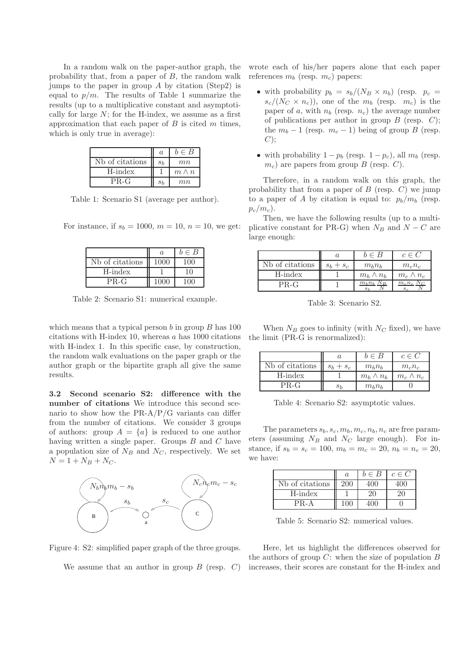In a random walk on the paper-author graph, the probability that, from a paper of  $B$ , the random walk jumps to the paper in group  $\tilde{A}$  by citation (Step2) is equal to  $p/m$ . The results of Table 1 summarize the results (up to a multiplicative constant and asymptotically for large  $N$ ; for the H-index, we assume as a first approximation that each paper of  $B$  is cited  $m$  times, which is only true in average):

|                           | $\alpha$       | $b \in B$    |
|---------------------------|----------------|--------------|
| Nb of citations           | s <sub>b</sub> | mn           |
| $H\text{-}\mathrm{index}$ |                | $m \wedge n$ |
| PR-G                      | $S_h$          | mn           |

Table 1: Scenario S1 (average per author).

For instance, if  $s_b = 1000, m = 10, n = 10$ , we get:

|                 | $\alpha$ | $b \in B$ |
|-----------------|----------|-----------|
| Nb of citations |          |           |
| H-index         |          | 10        |
| $PR-G$          |          |           |

Table 2: Scenario S1: numerical example.

which means that a typical person  $b$  in group  $B$  has 100 citations with H-index 10, whereas  $a$  has 1000 citations with H-index 1. In this specific case, by construction, the random walk evaluations on the paper graph or the author graph or the bipartite graph all give the same results.

3.2 Second scenario S2: difference with the number of citations We introduce this second scenario to show how the  $PR-A/P/G$  variants can differ from the number of citations. We consider 3 groups of authors: group  $A = \{a\}$  is reduced to one author having written a single paper. Groups  $B$  and  $C$  have a population size of  $N_B$  and  $N_C$ , respectively. We set  $N = 1 + N_B + N_C.$ 



Figure 4: S2: simplified paper graph of the three groups.

We assume that an author in group  $B$  (resp.  $C$ )

wrote each of his/her papers alone that each paper references  $m_b$  (resp.  $m_c$ ) papers:

- with probability  $p_b = s_b/(N_B \times n_b)$  (resp.  $p_c =$  $s_c/(N_C \times n_c)$ , one of the  $m_b$  (resp.  $m_c$ ) is the paper of a, with  $n_b$  (resp.  $n_c$ ) the average number of publications per author in group  $B$  (resp.  $C$ ); the  $m_b - 1$  (resp.  $m_c - 1$ ) being of group B (resp.  $C$ );
- with probability  $1 p_b$  (resp.  $1 p_c$ ), all  $m_b$  (resp.  $m_c$ ) are papers from group B (resp. C).

Therefore, in a random walk on this graph, the probability that from a paper of  $B$  (resp.  $C$ ) we jump to a paper of A by citation is equal to:  $p_b/m_b$  (resp.  $p_c/m_c$ ).

Then, we have the following results (up to a multiplicative constant for PR-G) when  $N_B$  and  $N - C$  are large enough:

|                 |             | $b \in B$        | $c \in C$        |
|-----------------|-------------|------------------|------------------|
| Nb of citations | $s_b + s_c$ | $m_h n_h$        | $m_c n_c$        |
| H-index         |             | $m_h \wedge n_h$ | $m_c \wedge n_c$ |
| $PR-G$          |             | $m_b n_l$        | $m_c n_c$        |

Table 3: Scenario S2.

When  $N_B$  goes to infinity (with  $N_C$  fixed), we have the limit (PR-G is renormalized):

|                 |             | $b \in B$        | $c \in C$        |
|-----------------|-------------|------------------|------------------|
| Nb of citations | $s_b + s_c$ | $m_h n_h$        | $m_c n_c$        |
| H-index         |             | $m_h \wedge n_h$ | $m_c \wedge n_c$ |
| PR-G            |             | $m_h n_h$        |                  |

Table 4: Scenario S2: asymptotic values.

The parameters  $s_b, s_c, m_b, m_c, n_b, n_c$  are free parameters (assuming  $N_B$  and  $N_C$  large enough). For instance, if  $s_b = s_c = 100$ ,  $m_b = m_c = 20$ ,  $n_b = n_c = 20$ , we have:

|                 | $\alpha$ | $b \in B$ | $c \in C$ |
|-----------------|----------|-----------|-----------|
| Nb of citations | 200      | 400       | 400       |
| H-index         |          | 21)       | 20.       |
| $PR-A$          | 100      |           |           |

Table 5: Scenario S2: numerical values.

Here, let us highlight the differences observed for the authors of group  $C$ : when the size of population  $B$ increases, their scores are constant for the H-index and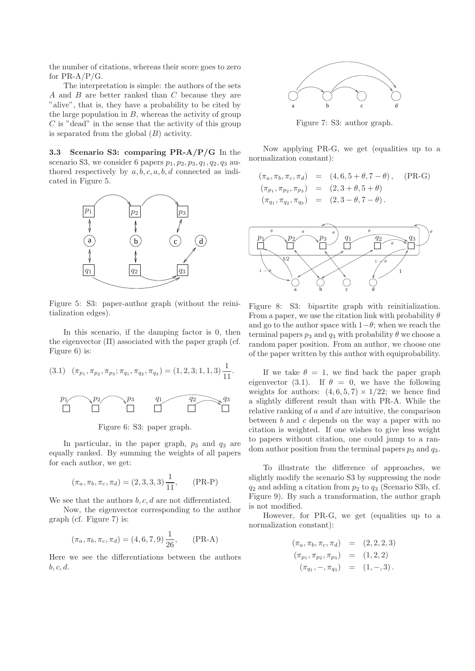the number of citations, whereas their score goes to zero for  $PR-A/P/G$ .

The interpretation is simple: the authors of the sets A and B are better ranked than C because they are "alive", that is, they have a probability to be cited by the large population in  $B$ , whereas the activity of group  $C$  is "dead" in the sense that the activity of this group is separated from the global  $(B)$  activity.

3.3 Scenario S3: comparing PR-A/P/G In the scenario S3, we consider 6 papers  $p_1, p_2, p_3, q_1, q_2, q_3$  authored respectively by  $a, b, c, a, b, d$  connected as indicated in Figure 5.



Figure 5: S3: paper-author graph (without the reinitialization edges).

In this scenario, if the damping factor is 0, then the eigenvector  $(\Pi)$  associated with the paper graph (cf. Figure 6) is:

(3.1) 
$$
(\pi_{p_1}, \pi_{p_2}, \pi_{p_3}; \pi_{q_1}, \pi_{q_2}, \pi_{q_3}) = (1, 2, 3; 1, 1, 3) \frac{1}{11}.
$$



In particular, in the paper graph,  $p_3$  and  $q_3$  are equally ranked. By summing the weights of all papers for each author, we get:

$$
(\pi_a, \pi_b, \pi_c, \pi_d) = (2, 3, 3, 3) \frac{1}{11},
$$
 (PR-P)

We see that the authors  $b, c, d$  are not differentiated.

Now, the eigenvector corresponding to the author graph (cf. Figure 7) is:

$$
(\pi_a, \pi_b, \pi_c, \pi_d) = (4, 6, 7, 9) \frac{1}{26}, \qquad \text{(PR-A)}
$$

Here we see the differentiations between the authors  $b, c, d$ .



Figure 7: S3: author graph.

Now applying PR-G, we get (equalities up to a normalization constant):

$$
(\pi_a, \pi_b, \pi_c, \pi_d) = (4, 6, 5 + \theta, 7 - \theta), \quad (PR-G)
$$
  
\n
$$
(\pi_{p_1}, \pi_{p_2}, \pi_{p_3}) = (2, 3 + \theta, 5 + \theta)
$$
  
\n
$$
(\pi_{q_1}, \pi_{q_2}, \pi_{q_3}) = (2, 3 - \theta, 7 - \theta).
$$



Figure 8: S3: bipartite graph with reinitialization. From a paper, we use the citation link with probability  $\theta$ and go to the author space with  $1-\theta$ ; when we reach the terminal papers  $p_3$  and  $q_3$  with probability  $\theta$  we choose a random paper position. From an author, we choose one of the paper written by this author with equiprobability.

If we take  $\theta = 1$ , we find back the paper graph eigenvector (3.1). If  $\theta = 0$ , we have the following weights for authors:  $(4, 6, 5, 7) \times 1/22$ ; we hence find a slightly different result than with PR-A. While the relative ranking of  $a$  and  $d$  are intuitive, the comparison between  $b$  and  $c$  depends on the way a paper with no citation is weighted. If one wishes to give less weight to papers without citation, one could jump to a random author position from the terminal papers  $p_3$  and  $q_3$ .

To illustrate the difference of approaches, we slightly modify the scenario S3 by suppressing the node  $q_2$  and adding a citation from  $p_2$  to  $q_3$  (Scenario S3b, cf. Figure 9). By such a transformation, the author graph is not modified.

However, for PR-G, we get (equalities up to a normalization constant):

$$
(\pi_a, \pi_b, \pi_c, \pi_d) = (2, 2, 2, 3)
$$
  
\n
$$
(\pi_{p_1}, \pi_{p_2}, \pi_{p_3}) = (1, 2, 2)
$$
  
\n
$$
(\pi_{q_1}, -, \pi_{q_3}) = (1, -, 3).
$$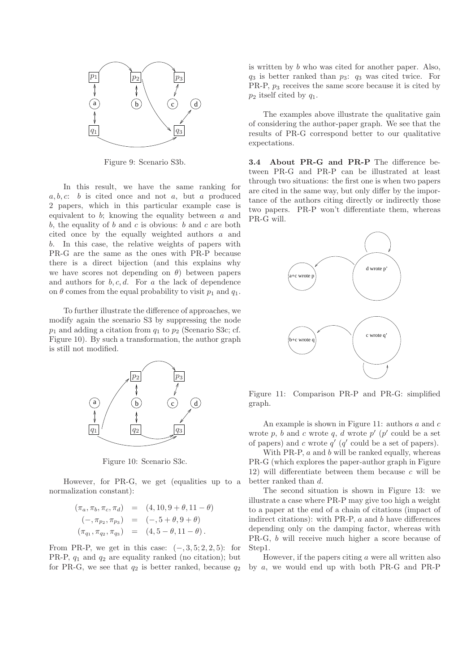

Figure 9: Scenario S3b.

In this result, we have the same ranking for  $a, b, c: b$  is cited once and not a, but a produced 2 papers, which in this particular example case is equivalent to  $b$ ; knowing the equality between  $a$  and b, the equality of b and c is obvious: b and c are both cited once by the equally weighted authors a and b. In this case, the relative weights of papers with PR-G are the same as the ones with PR-P because there is a direct bijection (and this explains why we have scores not depending on  $\theta$ ) between papers and authors for  $b, c, d$ . For a the lack of dependence on  $\theta$  comes from the equal probability to visit  $p_1$  and  $q_1$ .

To further illustrate the difference of approaches, we modify again the scenario S3 by suppressing the node  $p_1$  and adding a citation from  $q_1$  to  $p_2$  (Scenario S3c; cf. Figure 10). By such a transformation, the author graph is still not modified.



Figure 10: Scenario S3c.

However, for PR-G, we get (equalities up to a normalization constant):

$$
(\pi_a, \pi_b, \pi_c, \pi_d) = (4, 10, 9 + \theta, 11 - \theta)
$$
  

$$
(-, \pi_{p_2}, \pi_{p_3}) = (-, 5 + \theta, 9 + \theta)
$$
  

$$
(\pi_{q_1}, \pi_{q_2}, \pi_{q_3}) = (4, 5 - \theta, 11 - \theta).
$$

From PR-P, we get in this case:  $(-, 3, 5; 2, 2, 5)$ : for PR-P,  $q_1$  and  $q_2$  are equality ranked (no citation); but for PR-G, we see that  $q_2$  is better ranked, because  $q_2$  is written by b who was cited for another paper. Also,  $q_3$  is better ranked than  $p_3$ :  $q_3$  was cited twice. For PR-P, p3 receives the same score because it is cited by  $p_2$  itself cited by  $q_1$ .

The examples above illustrate the qualitative gain of considering the author-paper graph. We see that the results of PR-G correspond better to our qualitative expectations.

3.4 About PR-G and PR-P The difference between PR-G and PR-P can be illustrated at least through two situations: the first one is when two papers are cited in the same way, but only differ by the importance of the authors citing directly or indirectly those two papers. PR-P won't differentiate them, whereas PR-G will.



Figure 11: Comparison PR-P and PR-G: simplified graph.

An example is shown in Figure 11: authors a and c wrote  $p$ ,  $b$  and  $c$  wrote  $q$ ,  $d$  wrote  $p'$  ( $p'$  could be a set of papers) and c wrote  $q'$  ( $q'$  could be a set of papers).

With PR-P,  $a$  and  $b$  will be ranked equally, whereas PR-G (which explores the paper-author graph in Figure 12) will differentiate between them because  $c$  will be better ranked than d.

The second situation is shown in Figure 13: we illustrate a case where PR-P may give too high a weight to a paper at the end of a chain of citations (impact of indirect citations): with PR-P,  $a$  and  $b$  have differences depending only on the damping factor, whereas with PR-G, b will receive much higher a score because of Step1.

However, if the papers citing  $a$  were all written also by a, we would end up with both PR-G and PR-P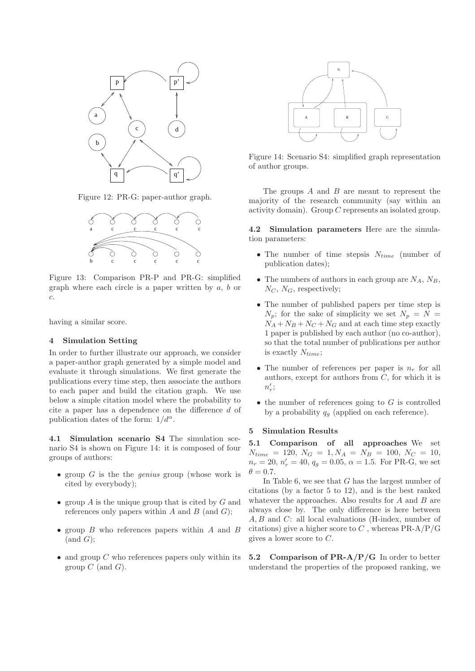

Figure 12: PR-G: paper-author graph.



Figure 13: Comparison PR-P and PR-G: simplified graph where each circle is a paper written by  $a, b$  or c.

having a similar score.

#### 4 Simulation Setting

In order to further illustrate our approach, we consider a paper-author graph generated by a simple model and evaluate it through simulations. We first generate the publications every time step, then associate the authors to each paper and build the citation graph. We use below a simple citation model where the probability to cite a paper has a dependence on the difference d of publication dates of the form:  $1/d^{\alpha}$ .

4.1 Simulation scenario S4 The simulation scenario S4 is shown on Figure 14: it is composed of four groups of authors:

- group  $G$  is the the *genius* group (whose work is cited by everybody);
- group  $A$  is the unique group that is cited by  $G$  and references only papers within  $A$  and  $B$  (and  $G$ );
- group B who references papers within A and B  $(and G);$
- and group  $C$  who references papers only within its group  $C$  (and  $G$ ).



Figure 14: Scenario S4: simplified graph representation of author groups.

The groups  $A$  and  $B$  are meant to represent the majority of the research community (say within an activity domain). Group C represents an isolated group.

4.2 Simulation parameters Here are the simulation parameters:

- The number of time stepsis  $N_{time}$  (number of publication dates);
- The numbers of authors in each group are  $N_A$ ,  $N_B$ ,  $N_C$ ,  $N_G$ , respectively;
- The number of published papers per time step is  $N_p$ ; for the sake of simplicity we set  $N_p = N =$  $N_A + N_B + N_C + N_G$  and at each time step exactly 1 paper is published by each author (no co-author), so that the total number of publications per author is exactly  $N_{time}$ ;
- The number of references per paper is  $n_r$  for all authors, except for authors from  $C$ , for which it is  $n_r'$ ;
- $\bullet$  the number of references going to  $G$  is controlled by a probability  $q_g$  (applied on each reference).

# 5 Simulation Results

5.1 Comparison of all approaches We set  $N_{time} = 120, N_G = 1, N_A = N_B = 100, N_C = 10,$  $n_r = 20, n'_r = 40, q_g = 0.05, \alpha = 1.5$ . For PR-G, we set  $\theta = 0.7$ .

In Table 6, we see that  $G$  has the largest number of citations (by a factor 5 to 12), and is the best ranked whatever the approaches. Also results for  $A$  and  $B$  are always close by. The only difference is here between A, B and C: all local evaluations (H-index, number of citations) give a higher score to  $C$ , whereas  $PR-A/P/G$ gives a lower score to C.

5.2 Comparison of  $PR-A/P/G$  In order to better understand the properties of the proposed ranking, we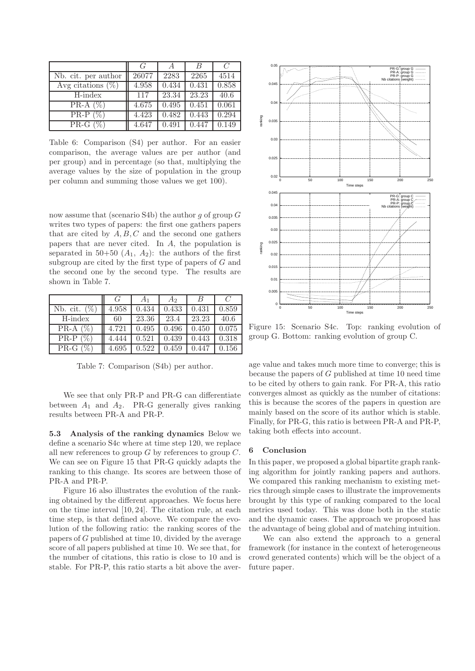|                      | G     | $\overline{A}$ | B     | C     |
|----------------------|-------|----------------|-------|-------|
| Nb. cit. per author  | 26077 | 2283           | 2265  | 4514  |
| Avg citations $(\%)$ | 4.958 | 0.434          | 0.431 | 0.858 |
| H-index              | 117   | 23.34          | 23.23 | 40.6  |
| PR-A $(\%)$          | 4.675 | 0.495          | 0.451 | 0.061 |
| $PR-P(\%)$           | 4.423 | 0.482          | 0.443 | 0.294 |
| PR-G $(\%)$          | 4.647 | 0.491          | 0.447 | 0.149 |

Table 6: Comparison (S4) per author. For an easier comparison, the average values are per author (and per group) and in percentage (so that, multiplying the average values by the size of population in the group per column and summing those values we get 100).

now assume that (scenario S4b) the author q of group  $G$ writes two types of papers: the first one gathers papers that are cited by  $A, B, C$  and the second one gathers papers that are never cited. In A, the population is separated in 50+50  $(A_1, A_2)$ : the authors of the first subgroup are cited by the first type of papers of G and the second one by the second type. The results are shown in Table 7.

|                | $\mathcal{L}_{I}$ |       | A2    |       |       |
|----------------|-------------------|-------|-------|-------|-------|
| Nb. cit. $(\%$ | 4.958             | 0.434 | 0.433 | 0.431 | 0.859 |
| H-index        | 60                | 23.36 | 23.4  | 23.23 | 40.6  |
| $PR-A(\%)$     | 4.721             | 0.495 | 0.496 | 0.450 | 0.075 |
| $PR-P(\%)$     | 4.444             | 0.521 | 0.439 | 0.443 | 0.318 |
| PR-G $(\%)$    | 4.695             | 0.522 | 0.459 | 0.447 | 0.156 |

Table 7: Comparison (S4b) per author.

We see that only PR-P and PR-G can differentiate between  $A_1$  and  $A_2$ . PR-G generally gives ranking results between PR-A and PR-P.

5.3 Analysis of the ranking dynamics Below we define a scenario S4c where at time step 120, we replace all new references to group  $G$  by references to group  $C$ . We can see on Figure 15 that PR-G quickly adapts the ranking to this change. Its scores are between those of PR-A and PR-P.

Figure 16 also illustrates the evolution of the ranking obtained by the different approaches. We focus here on the time interval [10, 24]. The citation rule, at each time step, is that defined above. We compare the evolution of the following ratio: the ranking scores of the papers of G published at time 10, divided by the average score of all papers published at time 10. We see that, for the number of citations, this ratio is close to 10 and is stable. For PR-P, this ratio starts a bit above the aver-



Figure 15: Scenario S4c. Top: ranking evolution of group G. Bottom: ranking evolution of group C.

age value and takes much more time to converge; this is because the papers of G published at time 10 need time to be cited by others to gain rank. For PR-A, this ratio converges almost as quickly as the number of citations: this is because the scores of the papers in question are mainly based on the score of its author which is stable. Finally, for PR-G, this ratio is between PR-A and PR-P, taking both effects into account.

### 6 Conclusion

In this paper, we proposed a global bipartite graph ranking algorithm for jointly ranking papers and authors. We compared this ranking mechanism to existing metrics through simple cases to illustrate the improvements brought by this type of ranking compared to the local metrics used today. This was done both in the static and the dynamic cases. The approach we proposed has the advantage of being global and of matching intuition.

We can also extend the approach to a general framework (for instance in the context of heterogeneous crowd generated contents) which will be the object of a future paper.